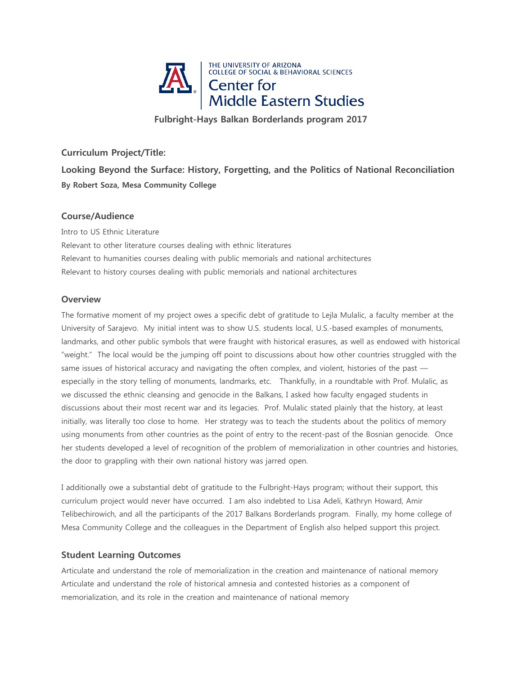

**Fulbright-Hays Balkan Borderlands program 2017**

# **Curriculum Project/Title:**

**Looking Beyond the Surface: History, Forgetting, and the Politics of National Reconciliation By Robert Soza, Mesa Community College**

## **Course/Audience**

Intro to US Ethnic Literature Relevant to other literature courses dealing with ethnic literatures Relevant to humanities courses dealing with public memorials and national architectures Relevant to history courses dealing with public memorials and national architectures

## **Overview**

The formative moment of my project owes a specific debt of gratitude to Lejla Mulalic, a faculty member at the University of Sarajevo. My initial intent was to show U.S. students local, U.S.-based examples of monuments, landmarks, and other public symbols that were fraught with historical erasures, as well as endowed with historical "weight." The local would be the jumping off point to discussions about how other countries struggled with the same issues of historical accuracy and navigating the often complex, and violent, histories of the past especially in the story telling of monuments, landmarks, etc. Thankfully, in a roundtable with Prof. Mulalic, as we discussed the ethnic cleansing and genocide in the Balkans, I asked how faculty engaged students in discussions about their most recent war and its legacies. Prof. Mulalic stated plainly that the history, at least initially, was literally too close to home. Her strategy was to teach the students about the politics of memory using monuments from other countries as the point of entry to the recent-past of the Bosnian genocide. Once her students developed a level of recognition of the problem of memorialization in other countries and histories, the door to grappling with their own national history was jarred open.

I additionally owe a substantial debt of gratitude to the Fulbright-Hays program; without their support, this curriculum project would never have occurred. I am also indebted to Lisa Adeli, Kathryn Howard, Amir Telibechirowich, and all the participants of the 2017 Balkans Borderlands program. Finally, my home college of Mesa Community College and the colleagues in the Department of English also helped support this project.

## **Student Learning Outcomes**

Articulate and understand the role of memorialization in the creation and maintenance of national memory Articulate and understand the role of historical amnesia and contested histories as a component of memorialization, and its role in the creation and maintenance of national memory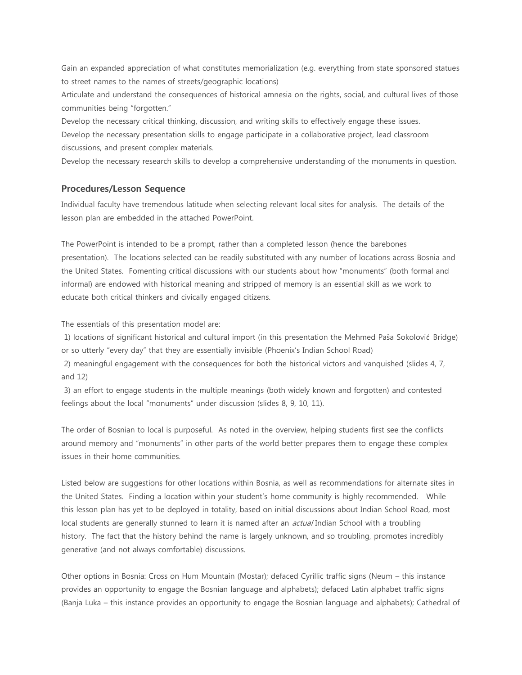Gain an expanded appreciation of what constitutes memorialization (e.g. everything from state sponsored statues to street names to the names of streets/geographic locations)

Articulate and understand the consequences of historical amnesia on the rights, social, and cultural lives of those communities being "forgotten."

Develop the necessary critical thinking, discussion, and writing skills to effectively engage these issues. Develop the necessary presentation skills to engage participate in a collaborative project, lead classroom discussions, and present complex materials.

Develop the necessary research skills to develop a comprehensive understanding of the monuments in question.

#### **Procedures/Lesson Sequence**

Individual faculty have tremendous latitude when selecting relevant local sites for analysis. The details of the lesson plan are embedded in the attached PowerPoint.

The PowerPoint is intended to be a prompt, rather than a completed lesson (hence the barebones presentation). The locations selected can be readily substituted with any number of locations across Bosnia and the United States. Fomenting critical discussions with our students about how "monuments" (both formal and informal) are endowed with historical meaning and stripped of memory is an essential skill as we work to educate both critical thinkers and civically engaged citizens.

The essentials of this presentation model are:

1) locations of significant historical and cultural import (in this presentation the Mehmed Paša Sokolović Bridge) or so utterly "every day" that they are essentially invisible (Phoenix's Indian School Road)

2) meaningful engagement with the consequences for both the historical victors and vanquished (slides 4, 7, and 12)

3) an effort to engage students in the multiple meanings (both widely known and forgotten) and contested feelings about the local "monuments" under discussion (slides 8, 9, 10, 11).

The order of Bosnian to local is purposeful. As noted in the overview, helping students first see the conflicts around memory and "monuments" in other parts of the world better prepares them to engage these complex issues in their home communities.

Listed below are suggestions for other locations within Bosnia, as well as recommendations for alternate sites in the United States. Finding a location within your student's home community is highly recommended. While this lesson plan has yet to be deployed in totality, based on initial discussions about Indian School Road, most local students are generally stunned to learn it is named after an *actual* Indian School with a troubling history. The fact that the history behind the name is largely unknown, and so troubling, promotes incredibly generative (and not always comfortable) discussions.

Other options in Bosnia: Cross on Hum Mountain (Mostar); defaced Cyrillic traffic signs (Neum – this instance provides an opportunity to engage the Bosnian language and alphabets); defaced Latin alphabet traffic signs (Banja Luka – this instance provides an opportunity to engage the Bosnian language and alphabets); Cathedral of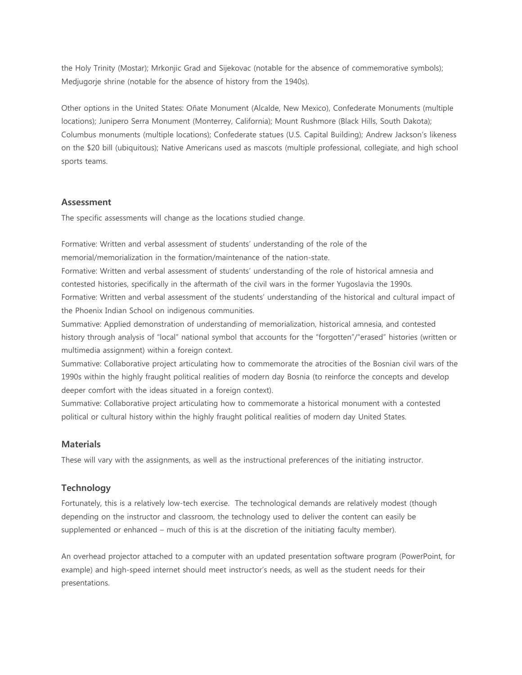the Holy Trinity (Mostar); Mrkonjic Grad and Sijekovac (notable for the absence of commemorative symbols); Medjugorje shrine (notable for the absence of history from the 1940s).

Other options in the United States: Oñate Monument (Alcalde, New Mexico), Confederate Monuments (multiple locations); Junipero Serra Monument (Monterrey, California); Mount Rushmore (Black Hills, South Dakota); Columbus monuments (multiple locations); Confederate statues (U.S. Capital Building); Andrew Jackson's likeness on the \$20 bill (ubiquitous); Native Americans used as mascots (multiple professional, collegiate, and high school sports teams.

#### **Assessment**

The specific assessments will change as the locations studied change.

Formative: Written and verbal assessment of students' understanding of the role of the memorial/memorialization in the formation/maintenance of the nation-state.

Formative: Written and verbal assessment of students' understanding of the role of historical amnesia and contested histories, specifically in the aftermath of the civil wars in the former Yugoslavia the 1990s. Formative: Written and verbal assessment of the students' understanding of the historical and cultural impact of the Phoenix Indian School on indigenous communities.

Summative: Applied demonstration of understanding of memorialization, historical amnesia, and contested history through analysis of "local" national symbol that accounts for the "forgotten"/"erased" histories (written or multimedia assignment) within a foreign context.

Summative: Collaborative project articulating how to commemorate the atrocities of the Bosnian civil wars of the 1990s within the highly fraught political realities of modern day Bosnia (to reinforce the concepts and develop deeper comfort with the ideas situated in a foreign context).

Summative: Collaborative project articulating how to commemorate a historical monument with a contested political or cultural history within the highly fraught political realities of modern day United States.

#### **Materials**

These will vary with the assignments, as well as the instructional preferences of the initiating instructor.

### **Technology**

Fortunately, this is a relatively low-tech exercise. The technological demands are relatively modest (though depending on the instructor and classroom, the technology used to deliver the content can easily be supplemented or enhanced – much of this is at the discretion of the initiating faculty member).

An overhead projector attached to a computer with an updated presentation software program (PowerPoint, for example) and high-speed internet should meet instructor's needs, as well as the student needs for their presentations.